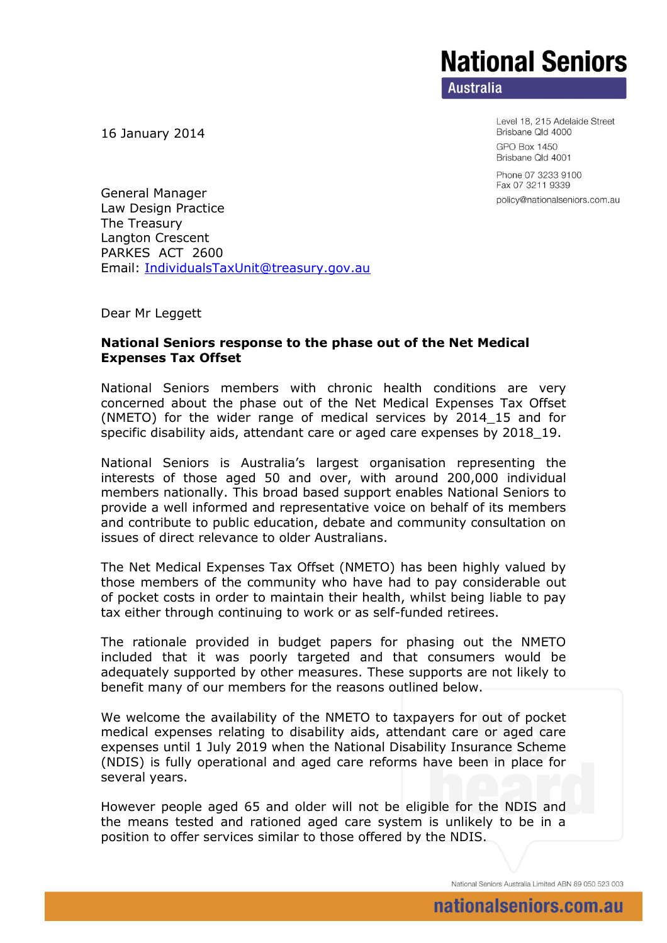## **National Seniors**

**Australia** 

Level 18, 215 Adelaide Street Brisbane Qld 4000

**GPO Box 1450** Brisbane Qld 4001

Phone 07 3233 9100 Fax 07 3211 9339 policy@nationalseniors.com.au

16 January 2014

General Manager Law Design Practice The Treasury Langton Crescent PARKES ACT 2600 Email: [IndividualsTaxUnit@treasury.gov.au](mailto:IndividualsTaxUnit@treasury.gov.au)

Dear Mr Leggett

## **National Seniors response to the phase out of the Net Medical Expenses Tax Offset**

National Seniors members with chronic health conditions are very concerned about the phase out of the Net Medical Expenses Tax Offset (NMETO) for the wider range of medical services by 2014\_15 and for specific disability aids, attendant care or aged care expenses by 2018\_19.

National Seniors is Australia's largest organisation representing the interests of those aged 50 and over, with around 200,000 individual members nationally. This broad based support enables National Seniors to provide a well informed and representative voice on behalf of its members and contribute to public education, debate and community consultation on issues of direct relevance to older Australians.

The Net Medical Expenses Tax Offset (NMETO) has been highly valued by those members of the community who have had to pay considerable out of pocket costs in order to maintain their health, whilst being liable to pay tax either through continuing to work or as self-funded retirees.

The rationale provided in budget papers for phasing out the NMETO included that it was poorly targeted and that consumers would be adequately supported by other measures. These supports are not likely to benefit many of our members for the reasons outlined below.

We welcome the availability of the NMETO to taxpayers for out of pocket medical expenses relating to disability aids, attendant care or aged care expenses until 1 July 2019 when the National Disability Insurance Scheme (NDIS) is fully operational and aged care reforms have been in place for several years.

However people aged 65 and older will not be eligible for the NDIS and the means tested and rationed aged care system is unlikely to be in a position to offer services similar to those offered by the NDIS.

National Seniors Australia Limited ABN 89 050 523 003